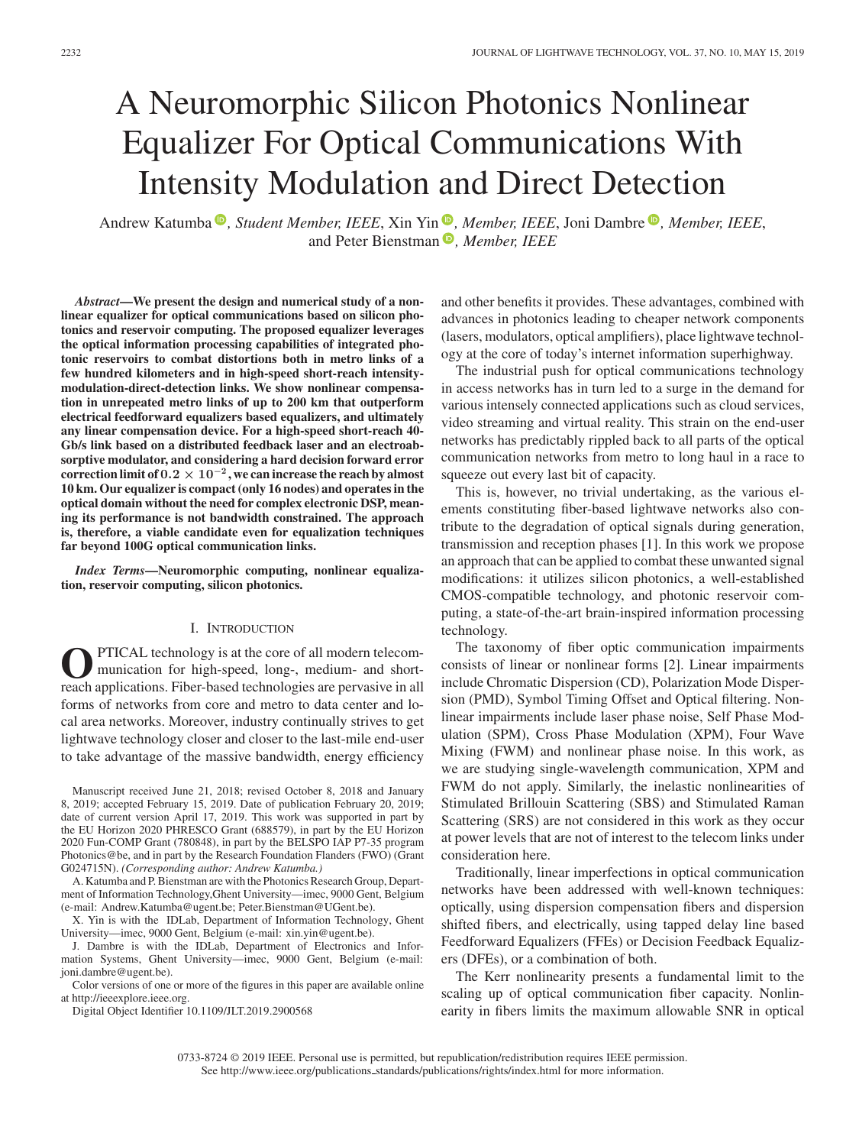# A Neuromorphic Silicon Photonics Nonlinear Equalizer For Optical Communications With Intensity Modulation and Direct Detection

Andrew Katumba<sup>®</sup>[,](https://orcid.org/0000-0002-9373-1210) Student Member, IEEE, Xin Yin®, Member, IEEE, Joni Dambre<sup>®</sup>, Member, IEEE, and Peter Bienstman<sup>(D)</sup>[,](https://orcid.org/0000-0001-6259-464X) *Member, IEEE* 

*Abstract***—We present the design and numerical study of a nonlinear equalizer for optical communications based on silicon photonics and reservoir computing. The proposed equalizer leverages the optical information processing capabilities of integrated photonic reservoirs to combat distortions both in metro links of a few hundred kilometers and in high-speed short-reach intensitymodulation-direct-detection links. We show nonlinear compensation in unrepeated metro links of up to 200 km that outperform electrical feedforward equalizers based equalizers, and ultimately any linear compensation device. For a high-speed short-reach 40- Gb/s link based on a distributed feedback laser and an electroabsorptive modulator, and considering a hard decision forward error correction limit of**  $0.2 \times 10^{-2}$ , we can increase the reach by almost **10 km. Our equalizer is compact (only 16 nodes) and operates in the optical domain without the need for complex electronic DSP, meaning its performance is not bandwidth constrained. The approach is, therefore, a viable candidate even for equalization techniques far beyond 100G optical communication links.**

*Index Terms***—Neuromorphic computing, nonlinear equalization, reservoir computing, silicon photonics.**

## I. INTRODUCTION

**O**PTICAL technology is at the core of all modern telecom-<br>munication for high-speed, long-, medium- and short-<br>reach applications. Fiber based technologies are peruasive in all reach applications. Fiber-based technologies are pervasive in all forms of networks from core and metro to data center and local area networks. Moreover, industry continually strives to get lightwave technology closer and closer to the last-mile end-user to take advantage of the massive bandwidth, energy efficiency

Manuscript received June 21, 2018; revised October 8, 2018 and January 8, 2019; accepted February 15, 2019. Date of publication February 20, 2019; date of current version April 17, 2019. This work was supported in part by the EU Horizon 2020 PHRESCO Grant (688579), in part by the EU Horizon 2020 Fun-COMP Grant (780848), in part by the BELSPO IAP P7-35 program Photonics@be, and in part by the Research Foundation Flanders (FWO) (Grant G024715N). *(Corresponding author: Andrew Katumba.)*

A. Katumba and P. Bienstman are with the Photonics Research Group, Department of Information Technology,Ghent University—imec, 9000 Gent, Belgium (e-mail:[,Andrew.Katumba@ugent.be;](mailto:Andrew.Katumba@ugent.be) [Peter.Bienstman@UGent.be\)](mailto:Peter.Bienstman@UGent.be).

X. Yin is with the IDLab, Department of Information Technology, Ghent University—imec, 9000 Gent, Belgium (e-mail: [xin.yin@ugent.be\)](mailto:xin.yin@ugent.be).

J. Dambre is with the IDLab, Department of Electronics and Information Systems, Ghent University—imec, 9000 Gent, Belgium (e-mail: [joni.dambre@ugent.be\)](mailto:joni.dambre@ugent.be).

Color versions of one or more of the figures in this paper are available online at http://ieeexplore.ieee.org.

Digital Object Identifier 10.1109/JLT.2019.2900568

and other benefits it provides. These advantages, combined with advances in photonics leading to cheaper network components (lasers, modulators, optical amplifiers), place lightwave technology at the core of today's internet information superhighway.

The industrial push for optical communications technology in access networks has in turn led to a surge in the demand for various intensely connected applications such as cloud services, video streaming and virtual reality. This strain on the end-user networks has predictably rippled back to all parts of the optical communication networks from metro to long haul in a race to squeeze out every last bit of capacity.

This is, however, no trivial undertaking, as the various elements constituting fiber-based lightwave networks also contribute to the degradation of optical signals during generation, transmission and reception phases [1]. In this work we propose an approach that can be applied to combat these unwanted signal modifications: it utilizes silicon photonics, a well-established CMOS-compatible technology, and photonic reservoir computing, a state-of-the-art brain-inspired information processing technology.

The taxonomy of fiber optic communication impairments consists of linear or nonlinear forms [2]. Linear impairments include Chromatic Dispersion (CD), Polarization Mode Dispersion (PMD), Symbol Timing Offset and Optical filtering. Nonlinear impairments include laser phase noise, Self Phase Modulation (SPM), Cross Phase Modulation (XPM), Four Wave Mixing (FWM) and nonlinear phase noise. In this work, as we are studying single-wavelength communication, XPM and FWM do not apply. Similarly, the inelastic nonlinearities of Stimulated Brillouin Scattering (SBS) and Stimulated Raman Scattering (SRS) are not considered in this work as they occur at power levels that are not of interest to the telecom links under consideration here.

Traditionally, linear imperfections in optical communication networks have been addressed with well-known techniques: optically, using dispersion compensation fibers and dispersion shifted fibers, and electrically, using tapped delay line based Feedforward Equalizers (FFEs) or Decision Feedback Equalizers (DFEs), or a combination of both.

The Kerr nonlinearity presents a fundamental limit to the scaling up of optical communication fiber capacity. Nonlinearity in fibers limits the maximum allowable SNR in optical

<sup>0733-8724 © 2019</sup> IEEE. Personal use is permitted, but republication/redistribution requires IEEE permission. See http://www.ieee.org/publications standards/publications/rights/index.html for more information.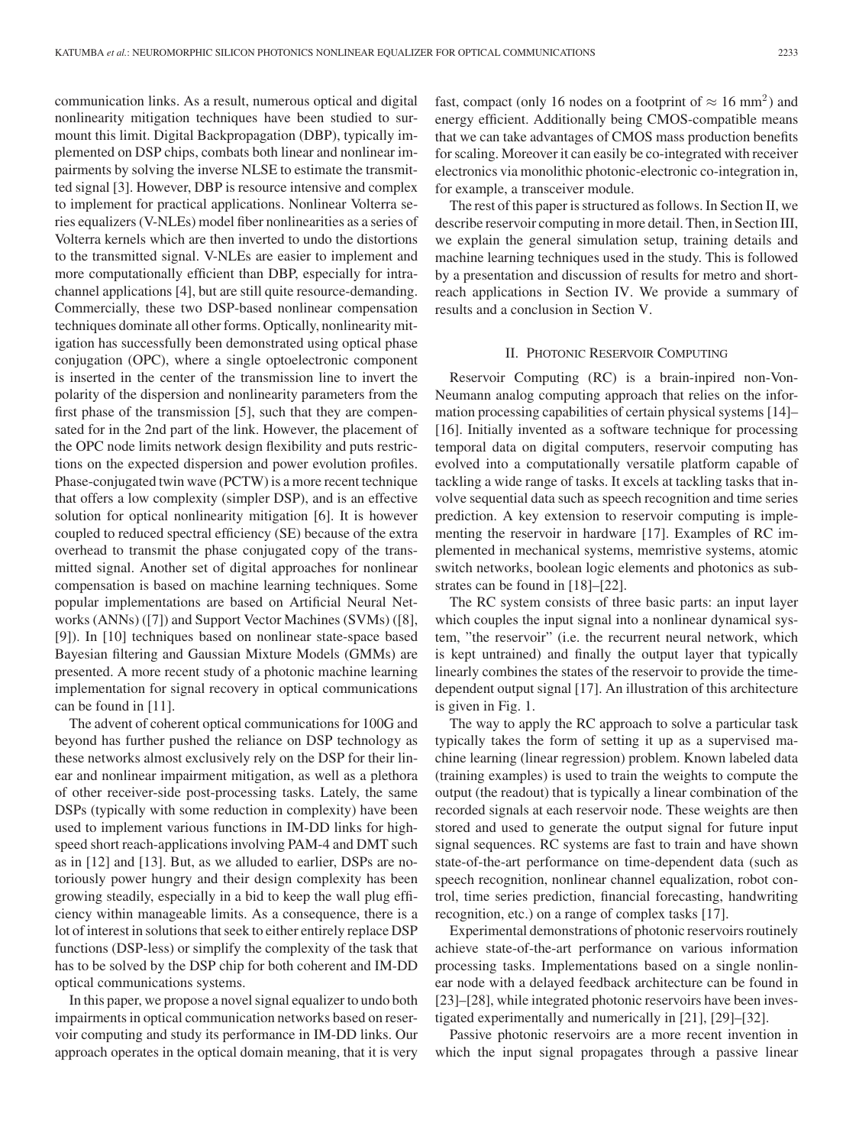communication links. As a result, numerous optical and digital nonlinearity mitigation techniques have been studied to surmount this limit. Digital Backpropagation (DBP), typically implemented on DSP chips, combats both linear and nonlinear impairments by solving the inverse NLSE to estimate the transmitted signal [3]. However, DBP is resource intensive and complex to implement for practical applications. Nonlinear Volterra series equalizers (V-NLEs) model fiber nonlinearities as a series of Volterra kernels which are then inverted to undo the distortions to the transmitted signal. V-NLEs are easier to implement and more computationally efficient than DBP, especially for intrachannel applications [4], but are still quite resource-demanding. Commercially, these two DSP-based nonlinear compensation techniques dominate all other forms. Optically, nonlinearity mitigation has successfully been demonstrated using optical phase conjugation (OPC), where a single optoelectronic component is inserted in the center of the transmission line to invert the polarity of the dispersion and nonlinearity parameters from the first phase of the transmission [5], such that they are compensated for in the 2nd part of the link. However, the placement of the OPC node limits network design flexibility and puts restrictions on the expected dispersion and power evolution profiles. Phase-conjugated twin wave (PCTW) is a more recent technique that offers a low complexity (simpler DSP), and is an effective solution for optical nonlinearity mitigation [6]. It is however coupled to reduced spectral efficiency (SE) because of the extra overhead to transmit the phase conjugated copy of the transmitted signal. Another set of digital approaches for nonlinear compensation is based on machine learning techniques. Some popular implementations are based on Artificial Neural Networks (ANNs) ([7]) and Support Vector Machines (SVMs) ([8], [9]). In [10] techniques based on nonlinear state-space based Bayesian filtering and Gaussian Mixture Models (GMMs) are presented. A more recent study of a photonic machine learning implementation for signal recovery in optical communications can be found in [11].

The advent of coherent optical communications for 100G and beyond has further pushed the reliance on DSP technology as these networks almost exclusively rely on the DSP for their linear and nonlinear impairment mitigation, as well as a plethora of other receiver-side post-processing tasks. Lately, the same DSPs (typically with some reduction in complexity) have been used to implement various functions in IM-DD links for highspeed short reach-applications involving PAM-4 and DMT such as in [12] and [13]. But, as we alluded to earlier, DSPs are notoriously power hungry and their design complexity has been growing steadily, especially in a bid to keep the wall plug efficiency within manageable limits. As a consequence, there is a lot of interest in solutions that seek to either entirely replace DSP functions (DSP-less) or simplify the complexity of the task that has to be solved by the DSP chip for both coherent and IM-DD optical communications systems.

In this paper, we propose a novel signal equalizer to undo both impairments in optical communication networks based on reservoir computing and study its performance in IM-DD links. Our approach operates in the optical domain meaning, that it is very fast, compact (only 16 nodes on a footprint of  $\approx 16$  mm<sup>2</sup>) and energy efficient. Additionally being CMOS-compatible means that we can take advantages of CMOS mass production benefits for scaling. Moreover it can easily be co-integrated with receiver electronics via monolithic photonic-electronic co-integration in, for example, a transceiver module.

The rest of this paper is structured as follows. In Section II, we describe reservoir computing in more detail. Then, in Section III, we explain the general simulation setup, training details and machine learning techniques used in the study. This is followed by a presentation and discussion of results for metro and shortreach applications in Section IV. We provide a summary of results and a conclusion in Section V.

#### II. PHOTONIC RESERVOIR COMPUTING

Reservoir Computing (RC) is a brain-inpired non-Von-Neumann analog computing approach that relies on the information processing capabilities of certain physical systems [14]– [16]. Initially invented as a software technique for processing temporal data on digital computers, reservoir computing has evolved into a computationally versatile platform capable of tackling a wide range of tasks. It excels at tackling tasks that involve sequential data such as speech recognition and time series prediction. A key extension to reservoir computing is implementing the reservoir in hardware [17]. Examples of RC implemented in mechanical systems, memristive systems, atomic switch networks, boolean logic elements and photonics as substrates can be found in [18]–[22].

The RC system consists of three basic parts: an input layer which couples the input signal into a nonlinear dynamical system, "the reservoir" (i.e. the recurrent neural network, which is kept untrained) and finally the output layer that typically linearly combines the states of the reservoir to provide the timedependent output signal [17]. An illustration of this architecture is given in Fig. 1.

The way to apply the RC approach to solve a particular task typically takes the form of setting it up as a supervised machine learning (linear regression) problem. Known labeled data (training examples) is used to train the weights to compute the output (the readout) that is typically a linear combination of the recorded signals at each reservoir node. These weights are then stored and used to generate the output signal for future input signal sequences. RC systems are fast to train and have shown state-of-the-art performance on time-dependent data (such as speech recognition, nonlinear channel equalization, robot control, time series prediction, financial forecasting, handwriting recognition, etc.) on a range of complex tasks [17].

Experimental demonstrations of photonic reservoirs routinely achieve state-of-the-art performance on various information processing tasks. Implementations based on a single nonlinear node with a delayed feedback architecture can be found in [23]–[28], while integrated photonic reservoirs have been investigated experimentally and numerically in [21], [29]–[32].

Passive photonic reservoirs are a more recent invention in which the input signal propagates through a passive linear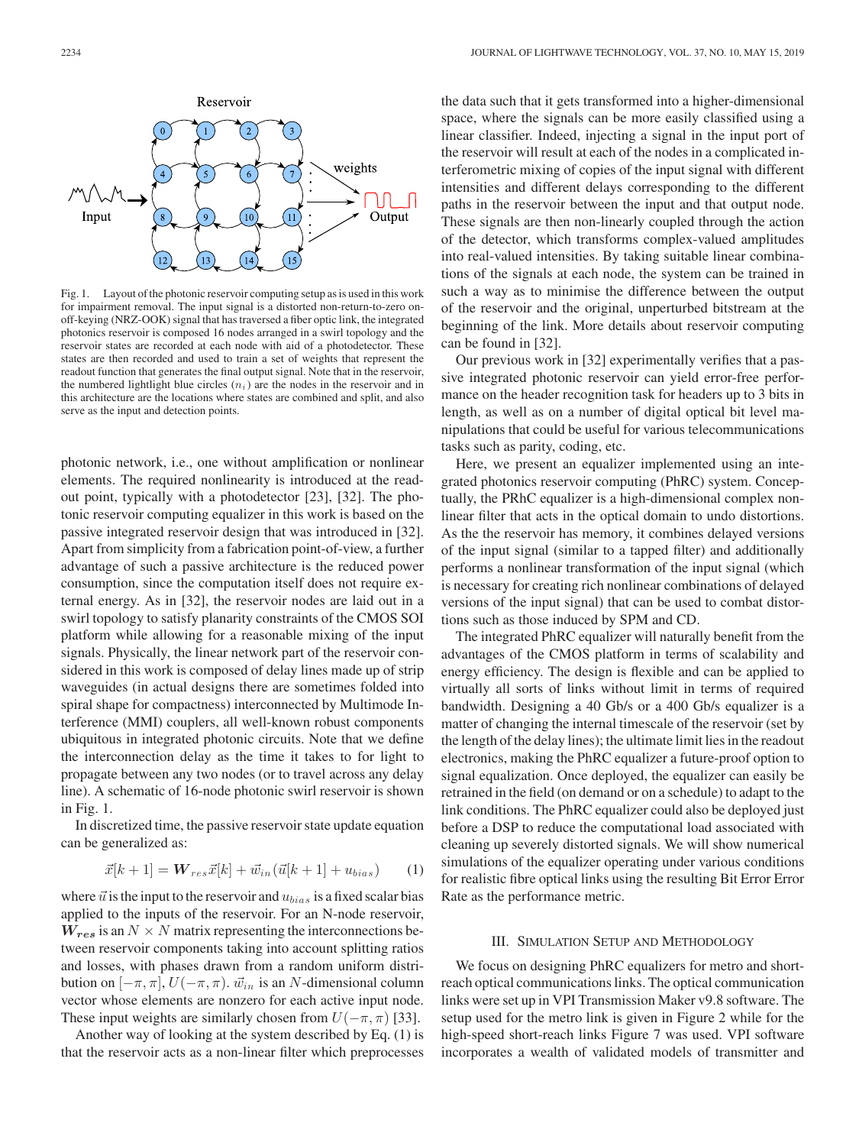

Fig. 1. Layout of the photonic reservoir computing setup as is used in this work for impairment removal. The input signal is a distorted non-return-to-zero onoff-keying (NRZ-OOK) signal that has traversed a fiber optic link, the integrated photonics reservoir is composed 16 nodes arranged in a swirl topology and the reservoir states are recorded at each node with aid of a photodetector. These states are then recorded and used to train a set of weights that represent the readout function that generates the final output signal. Note that in the reservoir, the numbered lightlight blue circles  $(n<sub>i</sub>)$  are the nodes in the reservoir and in this architecture are the locations where states are combined and split, and also serve as the input and detection points.

photonic network, i.e., one without amplification or nonlinear elements. The required nonlinearity is introduced at the readout point, typically with a photodetector [23], [32]. The photonic reservoir computing equalizer in this work is based on the passive integrated reservoir design that was introduced in [32]. Apart from simplicity from a fabrication point-of-view, a further advantage of such a passive architecture is the reduced power consumption, since the computation itself does not require external energy. As in [32], the reservoir nodes are laid out in a swirl topology to satisfy planarity constraints of the CMOS SOI platform while allowing for a reasonable mixing of the input signals. Physically, the linear network part of the reservoir considered in this work is composed of delay lines made up of strip waveguides (in actual designs there are sometimes folded into spiral shape for compactness) interconnected by Multimode Interference (MMI) couplers, all well-known robust components ubiquitous in integrated photonic circuits. Note that we define the interconnection delay as the time it takes to for light to propagate between any two nodes (or to travel across any delay line). A schematic of 16-node photonic swirl reservoir is shown in Fig. 1.

In discretized time, the passive reservoir state update equation can be generalized as:

$$
\vec{x}[k+1] = \mathbf{W}_{res}\vec{x}[k] + \vec{w}_{in}(\vec{u}[k+1] + u_{bias}) \tag{1}
$$

where  $\vec{u}$  is the input to the reservoir and  $u_{bias}$  is a fixed scalar bias applied to the inputs of the reservoir. For an N-node reservoir,  $W_{res}$  is an  $N \times N$  matrix representing the interconnections between reservoir components taking into account splitting ratios and losses, with phases drawn from a random uniform distribution on  $[-\pi, \pi]$ ,  $U(-\pi, \pi)$ .  $\vec{w}_{in}$  is an N-dimensional column vector whose elements are nonzero for each active input node. These input weights are similarly chosen from  $U(-\pi, \pi)$  [33].

Another way of looking at the system described by Eq. (1) is that the reservoir acts as a non-linear filter which preprocesses the data such that it gets transformed into a higher-dimensional space, where the signals can be more easily classified using a linear classifier. Indeed, injecting a signal in the input port of the reservoir will result at each of the nodes in a complicated interferometric mixing of copies of the input signal with different intensities and different delays corresponding to the different paths in the reservoir between the input and that output node. These signals are then non-linearly coupled through the action of the detector, which transforms complex-valued amplitudes into real-valued intensities. By taking suitable linear combinations of the signals at each node, the system can be trained in such a way as to minimise the difference between the output of the reservoir and the original, unperturbed bitstream at the beginning of the link. More details about reservoir computing can be found in [32].

Our previous work in [32] experimentally verifies that a passive integrated photonic reservoir can yield error-free performance on the header recognition task for headers up to 3 bits in length, as well as on a number of digital optical bit level manipulations that could be useful for various telecommunications tasks such as parity, coding, etc.

Here, we present an equalizer implemented using an integrated photonics reservoir computing (PhRC) system. Conceptually, the PRhC equalizer is a high-dimensional complex nonlinear filter that acts in the optical domain to undo distortions. As the the reservoir has memory, it combines delayed versions of the input signal (similar to a tapped filter) and additionally performs a nonlinear transformation of the input signal (which is necessary for creating rich nonlinear combinations of delayed versions of the input signal) that can be used to combat distortions such as those induced by SPM and CD.

The integrated PhRC equalizer will naturally benefit from the advantages of the CMOS platform in terms of scalability and energy efficiency. The design is flexible and can be applied to virtually all sorts of links without limit in terms of required bandwidth. Designing a 40 Gb/s or a 400 Gb/s equalizer is a matter of changing the internal timescale of the reservoir (set by the length of the delay lines); the ultimate limit lies in the readout electronics, making the PhRC equalizer a future-proof option to signal equalization. Once deployed, the equalizer can easily be retrained in the field (on demand or on a schedule) to adapt to the link conditions. The PhRC equalizer could also be deployed just before a DSP to reduce the computational load associated with cleaning up severely distorted signals. We will show numerical simulations of the equalizer operating under various conditions for realistic fibre optical links using the resulting Bit Error Error Rate as the performance metric.

#### III. SIMULATION SETUP AND METHODOLOGY

We focus on designing PhRC equalizers for metro and shortreach optical communications links. The optical communication links were set up in VPI Transmission Maker v9.8 software. The setup used for the metro link is given in Figure 2 while for the high-speed short-reach links Figure 7 was used. VPI software incorporates a wealth of validated models of transmitter and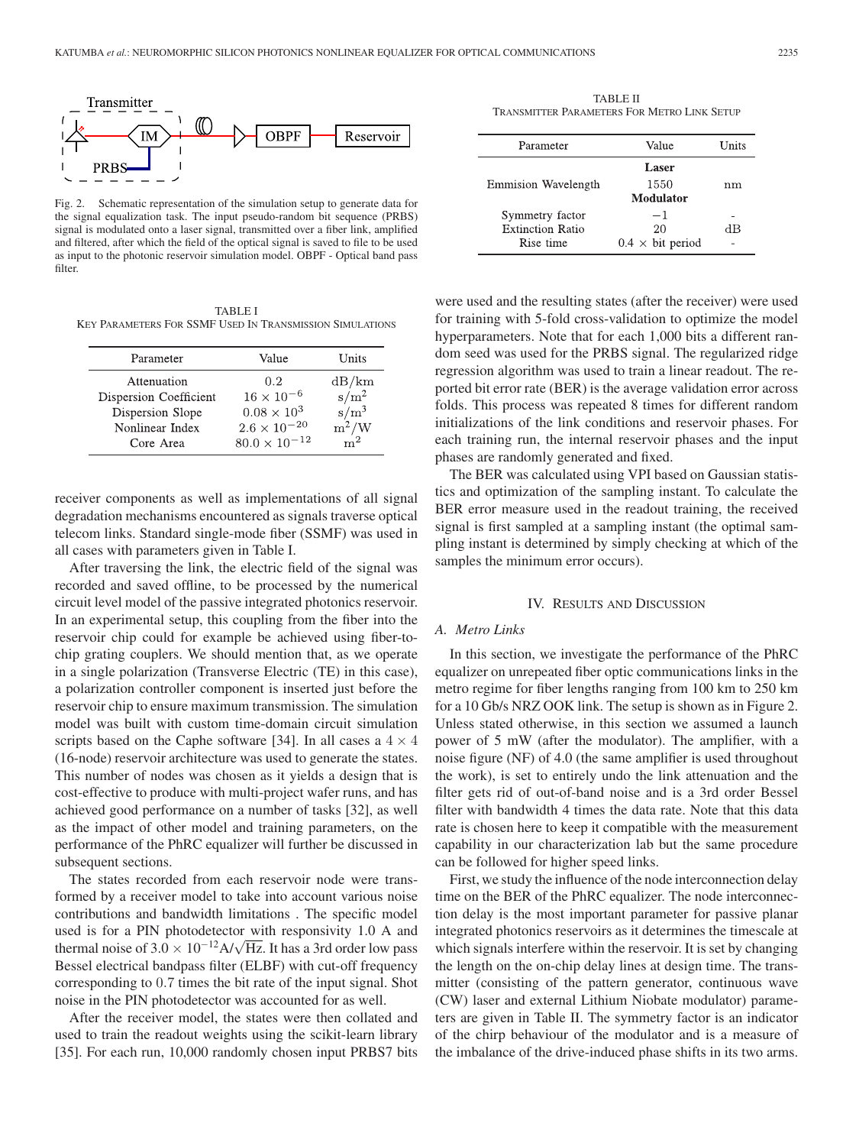

Fig. 2. Schematic representation of the simulation setup to generate data for the signal equalization task. The input pseudo-random bit sequence (PRBS) signal is modulated onto a laser signal, transmitted over a fiber link, amplified and filtered, after which the field of the optical signal is saved to file to be used as input to the photonic reservoir simulation model. OBPF - Optical band pass filter.

TABLE I KEY PARAMETERS FOR SSMF USED IN TRANSMISSION SIMULATIONS

| Value                 | Units                                         |
|-----------------------|-----------------------------------------------|
| 0.2                   | dB/km                                         |
|                       | $s/m^2$                                       |
| $0.08 \times 10^{3}$  | $\frac{\text{s}}{\text{m}^2/\text{W}}$        |
| $2.6 \times 10^{-20}$ |                                               |
|                       | m <sup>2</sup>                                |
|                       | $16 \times 10^{-6}$<br>$80.0 \times 10^{-12}$ |

receiver components as well as implementations of all signal degradation mechanisms encountered as signals traverse optical telecom links. Standard single-mode fiber (SSMF) was used in all cases with parameters given in Table I.

After traversing the link, the electric field of the signal was recorded and saved offline, to be processed by the numerical circuit level model of the passive integrated photonics reservoir. In an experimental setup, this coupling from the fiber into the reservoir chip could for example be achieved using fiber-tochip grating couplers. We should mention that, as we operate in a single polarization (Transverse Electric (TE) in this case), a polarization controller component is inserted just before the reservoir chip to ensure maximum transmission. The simulation model was built with custom time-domain circuit simulation scripts based on the Caphe software [34]. In all cases a  $4 \times 4$ (16-node) reservoir architecture was used to generate the states. This number of nodes was chosen as it yields a design that is cost-effective to produce with multi-project wafer runs, and has achieved good performance on a number of tasks [32], as well as the impact of other model and training parameters, on the performance of the PhRC equalizer will further be discussed in subsequent sections.

The states recorded from each reservoir node were transformed by a receiver model to take into account various noise contributions and bandwidth limitations . The specific model used is for a PIN photodetector with responsivity 1.0 A and thermal noise of  $3.0 \times 10^{-12}$  A/ $\sqrt{Hz}$ . It has a 3rd order low pass Bessel electrical bandpass filter (ELBF) with cut-off frequency corresponding to 0.7 times the bit rate of the input signal. Shot noise in the PIN photodetector was accounted for as well.

After the receiver model, the states were then collated and used to train the readout weights using the scikit-learn library [35]. For each run, 10,000 randomly chosen input PRBS7 bits

TABLE II TRANSMITTER PARAMETERS FOR METRO LINK SETUP

| Value                   | Units |
|-------------------------|-------|
| Laser                   |       |
| 1550                    | nm    |
| Modulator               |       |
| $-1$                    |       |
| 20                      | dВ    |
| $0.4 \times$ bit period |       |
|                         |       |

were used and the resulting states (after the receiver) were used for training with 5-fold cross-validation to optimize the model hyperparameters. Note that for each 1,000 bits a different random seed was used for the PRBS signal. The regularized ridge regression algorithm was used to train a linear readout. The reported bit error rate (BER) is the average validation error across folds. This process was repeated 8 times for different random initializations of the link conditions and reservoir phases. For each training run, the internal reservoir phases and the input phases are randomly generated and fixed.

The BER was calculated using VPI based on Gaussian statistics and optimization of the sampling instant. To calculate the BER error measure used in the readout training, the received signal is first sampled at a sampling instant (the optimal sampling instant is determined by simply checking at which of the samples the minimum error occurs).

### IV. RESULTS AND DISCUSSION

#### *A. Metro Links*

In this section, we investigate the performance of the PhRC equalizer on unrepeated fiber optic communications links in the metro regime for fiber lengths ranging from 100 km to 250 km for a 10 Gb/s NRZ OOK link. The setup is shown as in Figure 2. Unless stated otherwise, in this section we assumed a launch power of 5 mW (after the modulator). The amplifier, with a noise figure (NF) of 4.0 (the same amplifier is used throughout the work), is set to entirely undo the link attenuation and the filter gets rid of out-of-band noise and is a 3rd order Bessel filter with bandwidth 4 times the data rate. Note that this data rate is chosen here to keep it compatible with the measurement capability in our characterization lab but the same procedure can be followed for higher speed links.

First, we study the influence of the node interconnection delay time on the BER of the PhRC equalizer. The node interconnection delay is the most important parameter for passive planar integrated photonics reservoirs as it determines the timescale at which signals interfere within the reservoir. It is set by changing the length on the on-chip delay lines at design time. The transmitter (consisting of the pattern generator, continuous wave (CW) laser and external Lithium Niobate modulator) parameters are given in Table II. The symmetry factor is an indicator of the chirp behaviour of the modulator and is a measure of the imbalance of the drive-induced phase shifts in its two arms.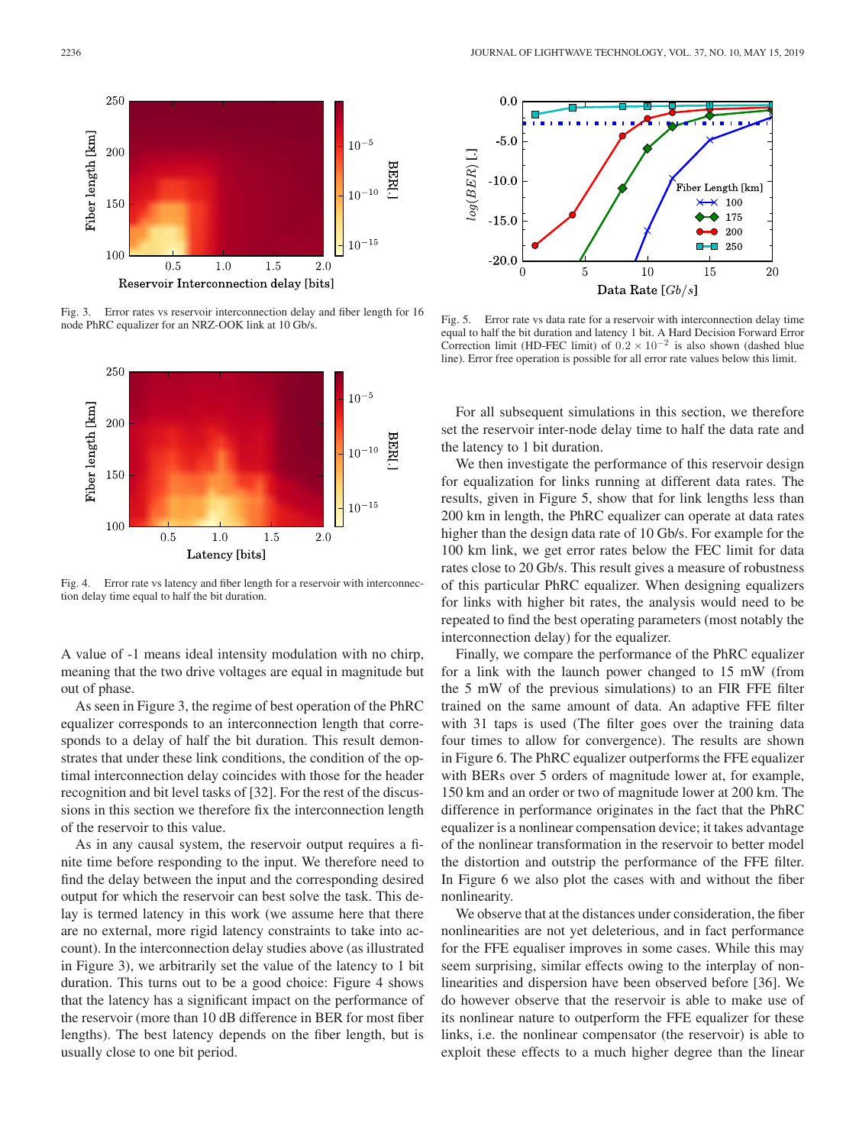

Fig. 3. Error rates vs reservoir interconnection delay and fiber length for 16 node PhRC equalizer for an NRZ-OOK link at 10 Gb/s.



Fig. 4. Error rate vs latency and fiber length for a reservoir with interconnection delay time equal to half the bit duration.

A value of -1 means ideal intensity modulation with no chirp, meaning that the two drive voltages are equal in magnitude but out of phase.

As seen in Figure 3, the regime of best operation of the PhRC equalizer corresponds to an interconnection length that corresponds to a delay of half the bit duration. This result demonstrates that under these link conditions, the condition of the optimal interconnection delay coincides with those for the header recognition and bit level tasks of [32]. For the rest of the discussions in this section we therefore fix the interconnection length of the reservoir to this value.

As in any causal system, the reservoir output requires a finite time before responding to the input. We therefore need to find the delay between the input and the corresponding desired output for which the reservoir can best solve the task. This delay is termed latency in this work (we assume here that there are no external, more rigid latency constraints to take into account). In the interconnection delay studies above (as illustrated in Figure 3), we arbitrarily set the value of the latency to 1 bit duration. This turns out to be a good choice: Figure 4 shows that the latency has a significant impact on the performance of the reservoir (more than 10 dB difference in BER for most fiber lengths). The best latency depends on the fiber length, but is usually close to one bit period.



Fig. 5. Error rate vs data rate for a reservoir with interconnection delay time equal to half the bit duration and latency 1 bit. A Hard Decision Forward Error Correction limit (HD-FEC limit) of  $0.2 \times 10^{-2}$  is also shown (dashed blue line). Error free operation is possible for all error rate values below this limit.

For all subsequent simulations in this section, we therefore set the reservoir inter-node delay time to half the data rate and the latency to 1 bit duration.

We then investigate the performance of this reservoir design for equalization for links running at different data rates. The results, given in Figure 5, show that for link lengths less than 200 km in length, the PhRC equalizer can operate at data rates higher than the design data rate of 10 Gb/s. For example for the 100 km link, we get error rates below the FEC limit for data rates close to 20 Gb/s. This result gives a measure of robustness of this particular PhRC equalizer. When designing equalizers for links with higher bit rates, the analysis would need to be repeated to find the best operating parameters (most notably the interconnection delay) for the equalizer.

Finally, we compare the performance of the PhRC equalizer for a link with the launch power changed to 15 mW (from the 5 mW of the previous simulations) to an FIR FFE filter trained on the same amount of data. An adaptive FFE filter with 31 taps is used (The filter goes over the training data four times to allow for convergence). The results are shown in Figure 6. The PhRC equalizer outperforms the FFE equalizer with BERs over 5 orders of magnitude lower at, for example, 150 km and an order or two of magnitude lower at 200 km. The difference in performance originates in the fact that the PhRC equalizer is a nonlinear compensation device; it takes advantage of the nonlinear transformation in the reservoir to better model the distortion and outstrip the performance of the FFE filter. In Figure 6 we also plot the cases with and without the fiber nonlinearity.

We observe that at the distances under consideration, the fiber nonlinearities are not yet deleterious, and in fact performance for the FFE equaliser improves in some cases. While this may seem surprising, similar effects owing to the interplay of nonlinearities and dispersion have been observed before [36]. We do however observe that the reservoir is able to make use of its nonlinear nature to outperform the FFE equalizer for these links, i.e. the nonlinear compensator (the reservoir) is able to exploit these effects to a much higher degree than the linear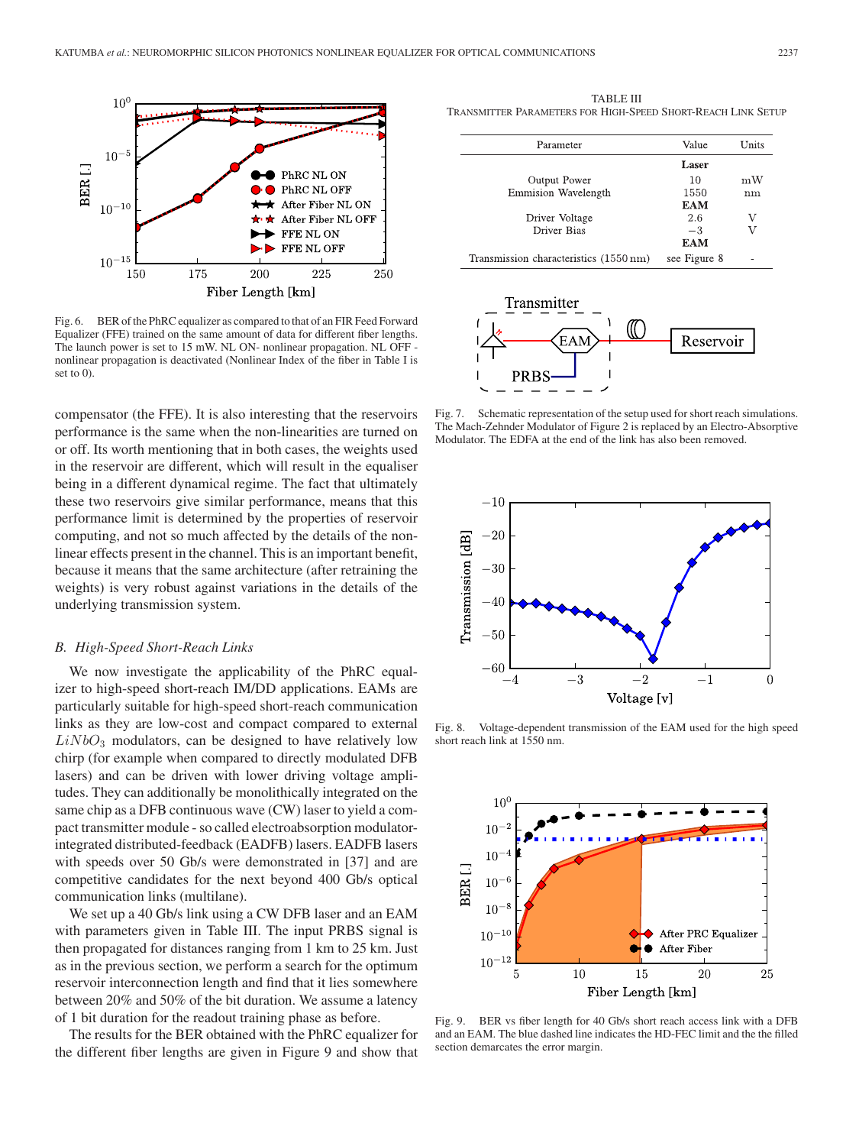

Fig. 6. BER of the PhRC equalizer as compared to that of an FIR Feed Forward Equalizer (FFE) trained on the same amount of data for different fiber lengths. The launch power is set to 15 mW. NL ON- nonlinear propagation. NL OFF nonlinear propagation is deactivated (Nonlinear Index of the fiber in Table I is set to 0).

compensator (the FFE). It is also interesting that the reservoirs performance is the same when the non-linearities are turned on or off. Its worth mentioning that in both cases, the weights used in the reservoir are different, which will result in the equaliser being in a different dynamical regime. The fact that ultimately these two reservoirs give similar performance, means that this performance limit is determined by the properties of reservoir computing, and not so much affected by the details of the nonlinear effects present in the channel. This is an important benefit, because it means that the same architecture (after retraining the weights) is very robust against variations in the details of the underlying transmission system.

#### *B. High-Speed Short-Reach Links*

We now investigate the applicability of the PhRC equalizer to high-speed short-reach IM/DD applications. EAMs are particularly suitable for high-speed short-reach communication links as they are low-cost and compact compared to external  $LiNbO<sub>3</sub>$  modulators, can be designed to have relatively low chirp (for example when compared to directly modulated DFB lasers) and can be driven with lower driving voltage amplitudes. They can additionally be monolithically integrated on the same chip as a DFB continuous wave (CW) laser to yield a compact transmitter module - so called electroabsorption modulatorintegrated distributed-feedback (EADFB) lasers. EADFB lasers with speeds over 50 Gb/s were demonstrated in [37] and are competitive candidates for the next beyond 400 Gb/s optical communication links (multilane).

We set up a 40 Gb/s link using a CW DFB laser and an EAM with parameters given in Table III. The input PRBS signal is then propagated for distances ranging from 1 km to 25 km. Just as in the previous section, we perform a search for the optimum reservoir interconnection length and find that it lies somewhere between 20% and 50% of the bit duration. We assume a latency of 1 bit duration for the readout training phase as before.

The results for the BER obtained with the PhRC equalizer for the different fiber lengths are given in Figure 9 and show that

TABLE III TRANSMITTER PARAMETERS FOR HIGH-SPEED SHORT-REACH LINK SETUP

| Parameter                              | Value        | Units |
|----------------------------------------|--------------|-------|
|                                        | Laser        |       |
| Output Power                           | 10           | mW    |
| Emmision Wavelength                    | 1550         | nm    |
|                                        | EAM          |       |
| Driver Voltage                         | 2.6          | V     |
| Driver Bias                            | $-3$         | V     |
|                                        | EAM          |       |
| Transmission characteristics (1550 nm) | see Figure 8 |       |



Fig. 7. Schematic representation of the setup used for short reach simulations. The Mach-Zehnder Modulator of Figure 2 is replaced by an Electro-Absorptive Modulator. The EDFA at the end of the link has also been removed.



Fig. 8. Voltage-dependent transmission of the EAM used for the high speed short reach link at 1550 nm.



Fig. 9. BER vs fiber length for 40 Gb/s short reach access link with a DFB and an EAM. The blue dashed line indicates the HD-FEC limit and the the filled section demarcates the error margin.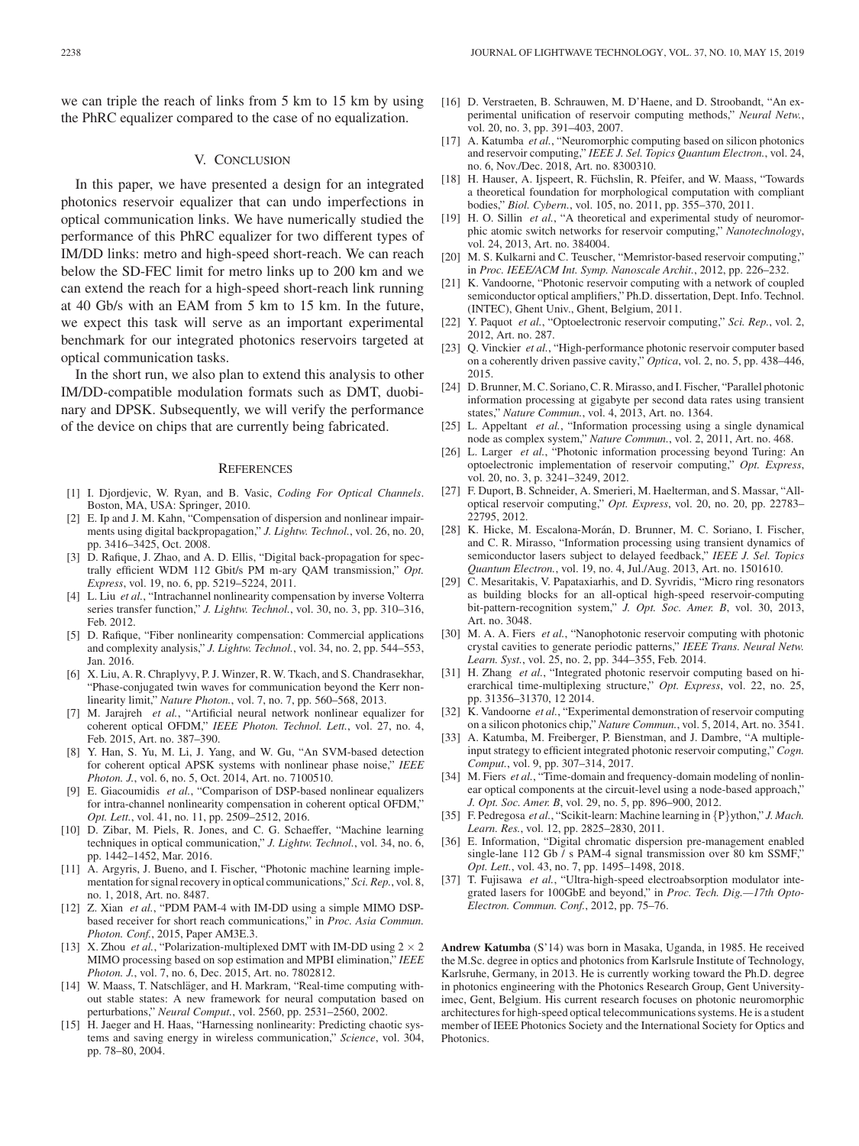we can triple the reach of links from 5 km to 15 km by using the PhRC equalizer compared to the case of no equalization.

# V. CONCLUSION

In this paper, we have presented a design for an integrated photonics reservoir equalizer that can undo imperfections in optical communication links. We have numerically studied the performance of this PhRC equalizer for two different types of IM/DD links: metro and high-speed short-reach. We can reach below the SD-FEC limit for metro links up to 200 km and we can extend the reach for a high-speed short-reach link running at 40 Gb/s with an EAM from 5 km to 15 km. In the future, we expect this task will serve as an important experimental benchmark for our integrated photonics reservoirs targeted at optical communication tasks.

In the short run, we also plan to extend this analysis to other IM/DD-compatible modulation formats such as DMT, duobinary and DPSK. Subsequently, we will verify the performance of the device on chips that are currently being fabricated.

#### **REFERENCES**

- [1] I. Djordjevic, W. Ryan, and B. Vasic, *Coding For Optical Channels*. Boston, MA, USA: Springer, 2010.
- [2] E. Ip and J. M. Kahn, "Compensation of dispersion and nonlinear impairments using digital backpropagation," *J. Lightw. Technol.*, vol. 26, no. 20, pp. 3416–3425, Oct. 2008.
- [3] D. Rafique, J. Zhao, and A. D. Ellis, "Digital back-propagation for spectrally efficient WDM 112 Gbit/s PM m-ary QAM transmission," *Opt. Express*, vol. 19, no. 6, pp. 5219–5224, 2011.
- [4] L. Liu et al., "Intrachannel nonlinearity compensation by inverse Volterra series transfer function," *J. Lightw. Technol.*, vol. 30, no. 3, pp. 310–316, Feb. 2012.
- [5] D. Rafique, "Fiber nonlinearity compensation: Commercial applications and complexity analysis," *J. Lightw. Technol.*, vol. 34, no. 2, pp. 544–553, Jan. 2016.
- [6] X. Liu, A. R. Chraplyvy, P. J. Winzer, R. W. Tkach, and S. Chandrasekhar, "Phase-conjugated twin waves for communication beyond the Kerr nonlinearity limit," *Nature Photon.*, vol. 7, no. 7, pp. 560–568, 2013.
- [7] M. Jarajreh *et al.*, "Artificial neural network nonlinear equalizer for coherent optical OFDM," *IEEE Photon. Technol. Lett.*, vol. 27, no. 4, Feb. 2015, Art. no. 387–390.
- [8] Y. Han, S. Yu, M. Li, J. Yang, and W. Gu, "An SVM-based detection for coherent optical APSK systems with nonlinear phase noise," *IEEE Photon. J.*, vol. 6, no. 5, Oct. 2014, Art. no. 7100510.
- [9] E. Giacoumidis *et al.*, "Comparison of DSP-based nonlinear equalizers for intra-channel nonlinearity compensation in coherent optical OFDM," *Opt. Lett.*, vol. 41, no. 11, pp. 2509–2512, 2016.
- [10] D. Zibar, M. Piels, R. Jones, and C. G. Schaeffer, "Machine learning techniques in optical communication," *J. Lightw. Technol.*, vol. 34, no. 6, pp. 1442–1452, Mar. 2016.
- [11] A. Argyris, J. Bueno, and I. Fischer, "Photonic machine learning implementation for signal recovery in optical communications," *Sci. Rep.*, vol. 8, no. 1, 2018, Art. no. 8487.
- [12] Z. Xian *et al.*, "PDM PAM-4 with IM-DD using a simple MIMO DSPbased receiver for short reach communications," in *Proc. Asia Commun. Photon. Conf.*, 2015, Paper AM3E.3.
- X. Zhou *et al.*, "Polarization-multiplexed DMT with IM-DD using  $2 \times 2$ MIMO processing based on sop estimation and MPBI elimination," *IEEE Photon. J.*, vol. 7, no. 6, Dec. 2015, Art. no. 7802812.
- [14] W. Maass, T. Natschläger, and H. Markram, "Real-time computing without stable states: A new framework for neural computation based on perturbations," *Neural Comput.*, vol. 2560, pp. 2531–2560, 2002.
- [15] H. Jaeger and H. Haas, "Harnessing nonlinearity: Predicting chaotic systems and saving energy in wireless communication," *Science*, vol. 304, pp. 78–80, 2004.
- [16] D. Verstraeten, B. Schrauwen, M. D'Haene, and D. Stroobandt, "An experimental unification of reservoir computing methods," *Neural Netw.*, vol. 20, no. 3, pp. 391–403, 2007.
- [17] A. Katumba *et al.*, "Neuromorphic computing based on silicon photonics and reservoir computing," *IEEE J. Sel. Topics Quantum Electron.*, vol. 24, no. 6, Nov./Dec. 2018, Art. no. 8300310.
- [18] H. Hauser, A. Ijspeert, R. Füchslin, R. Pfeifer, and W. Maass, "Towards a theoretical foundation for morphological computation with compliant bodies," *Biol. Cybern.*, vol. 105, no. 2011, pp. 355–370, 2011.
- [19] H. O. Sillin *et al.*, "A theoretical and experimental study of neuromorphic atomic switch networks for reservoir computing," *Nanotechnology*, vol. 24, 2013, Art. no. 384004.
- [20] M. S. Kulkarni and C. Teuscher, "Memristor-based reservoir computing," in *Proc. IEEE/ACM Int. Symp. Nanoscale Archit.*, 2012, pp. 226–232.
- [21] K. Vandoorne, "Photonic reservoir computing with a network of coupled semiconductor optical amplifiers," Ph.D. dissertation, Dept. Info. Technol. (INTEC), Ghent Univ., Ghent, Belgium, 2011.
- [22] Y. Paquot *et al.*, "Optoelectronic reservoir computing," *Sci. Rep.*, vol. 2, 2012, Art. no. 287.
- [23] Q. Vinckier *et al.*, "High-performance photonic reservoir computer based on a coherently driven passive cavity," *Optica*, vol. 2, no. 5, pp. 438–446, 2015.
- [24] D. Brunner, M. C. Soriano, C. R. Mirasso, and I. Fischer, "Parallel photonic information processing at gigabyte per second data rates using transient states," *Nature Commun.*, vol. 4, 2013, Art. no. 1364.
- [25] L. Appeltant *et al.*, "Information processing using a single dynamical node as complex system," *Nature Commun.*, vol. 2, 2011, Art. no. 468.
- [26] L. Larger *et al.*, "Photonic information processing beyond Turing: An optoelectronic implementation of reservoir computing," *Opt. Express*, vol. 20, no. 3, p. 3241–3249, 2012.
- [27] F. Duport, B. Schneider, A. Smerieri, M. Haelterman, and S. Massar, "Alloptical reservoir computing," *Opt. Express*, vol. 20, no. 20, pp. 22783– 22795, 2012.
- [28] K. Hicke, M. Escalona-Morán, D. Brunner, M. C. Soriano, I. Fischer, and C. R. Mirasso, "Information processing using transient dynamics of semiconductor lasers subject to delayed feedback," *IEEE J. Sel. Topics Quantum Electron.*, vol. 19, no. 4, Jul./Aug. 2013, Art. no. 1501610.
- [29] C. Mesaritakis, V. Papataxiarhis, and D. Syvridis, "Micro ring resonators as building blocks for an all-optical high-speed reservoir-computing bit-pattern-recognition system," *J. Opt. Soc. Amer. B*, vol. 30, 2013, Art. no. 3048.
- [30] M. A. A. Fiers *et al.*, "Nanophotonic reservoir computing with photonic crystal cavities to generate periodic patterns," *IEEE Trans. Neural Netw. Learn. Syst.*, vol. 25, no. 2, pp. 344–355, Feb. 2014.
- [31] H. Zhang *et al.*, "Integrated photonic reservoir computing based on hierarchical time-multiplexing structure," *Opt. Express*, vol. 22, no. 25, pp. 31356–31370, 12 2014.
- [32] K. Vandoorne *et al.*, "Experimental demonstration of reservoir computing on a silicon photonics chip," *Nature Commun.*, vol. 5, 2014, Art. no. 3541.
- [33] A. Katumba, M. Freiberger, P. Bienstman, and J. Dambre, "A multipleinput strategy to efficient integrated photonic reservoir computing," *Cogn. Comput.*, vol. 9, pp. 307–314, 2017.
- [34] M. Fiers *et al.*, "Time-domain and frequency-domain modeling of nonlinear optical components at the circuit-level using a node-based approach," *J. Opt. Soc. Amer. B*, vol. 29, no. 5, pp. 896–900, 2012.
- [35] F. Pedregosa *et al.*, "Scikit-learn: Machine learning in {P}ython," *J. Mach. Learn. Res.*, vol. 12, pp. 2825–2830, 2011.
- [36] E. Information, "Digital chromatic dispersion pre-management enabled single-lane 112 Gb / s PAM-4 signal transmission over 80 km SSMF," *Opt. Lett.*, vol. 43, no. 7, pp. 1495–1498, 2018.
- [37] T. Fujisawa *et al.*, "Ultra-high-speed electroabsorption modulator integrated lasers for 100GbE and beyond," in *Proc. Tech. Dig.—17th Opto-Electron. Commun. Conf.*, 2012, pp. 75–76.

**Andrew Katumba** (S'14) was born in Masaka, Uganda, in 1985. He received the M.Sc. degree in optics and photonics from Karlsrule Institute of Technology, Karlsruhe, Germany, in 2013. He is currently working toward the Ph.D. degree in photonics engineering with the Photonics Research Group, Gent Universityimec, Gent, Belgium. His current research focuses on photonic neuromorphic architectures for high-speed optical telecommunications systems. He is a student member of IEEE Photonics Society and the International Society for Optics and Photonics.